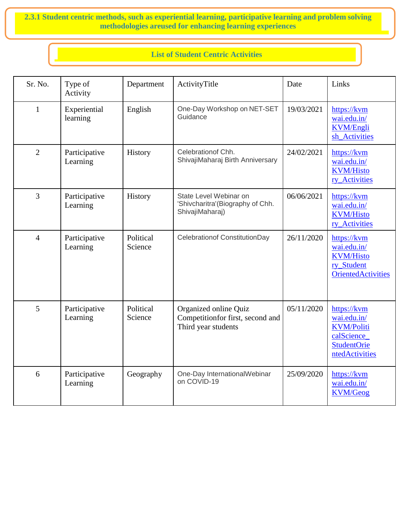**2.3.1 Student centric methods, such as experiential learning, participative learning and problem solving methodologies areused for enhancing learning experiences**

# **List of Student Centric Activities**

| Sr. No.        | Type of<br>Activity       | Department           | ActivityTitle                                                                    | Date       | Links                                                                                                  |
|----------------|---------------------------|----------------------|----------------------------------------------------------------------------------|------------|--------------------------------------------------------------------------------------------------------|
| $\mathbf{1}$   | Experiential<br>learning  | English              | One-Day Workshop on NET-SET<br>Guidance                                          | 19/03/2021 | https://kvm<br>wai.edu.in/<br><b>KVM/Engli</b><br>sh_Activities                                        |
| $\overline{2}$ | Participative<br>Learning | History              | Celebration of Chh.<br>ShivajiMaharaj Birth Anniversary                          | 24/02/2021 | https://kvm<br>wai.edu.in/<br><b>KVM/Histo</b><br>ry_Activities                                        |
| $\overline{3}$ | Participative<br>Learning | History              | State Level Webinar on<br>'Shivcharitra'(Biography of Chh.<br>ShivajiMaharaj)    | 06/06/2021 | https://kvm<br>wai.edu.in/<br><b>KVM/Histo</b><br>ry_Activities                                        |
| $\overline{4}$ | Participative<br>Learning | Political<br>Science | Celebrationof ConstitutionDay                                                    | 26/11/2020 | https://kvm<br>wai.edu.in/<br><b>KVM/Histo</b><br>ry_Student<br><b>OrientedActivities</b>              |
| 5              | Participative<br>Learning | Political<br>Science | Organized online Quiz<br>Competitionfor first, second and<br>Third year students | 05/11/2020 | https://kvm<br>wai.edu.in/<br><b>KVM/Politi</b><br>calScience_<br><b>StudentOrie</b><br>ntedActivities |
| 6              | Participative<br>Learning | Geography            | One-Day InternationalWebinar<br>on COVID-19                                      | 25/09/2020 | https://kvm<br>wai.edu.in/<br><b>KVM/Geog</b>                                                          |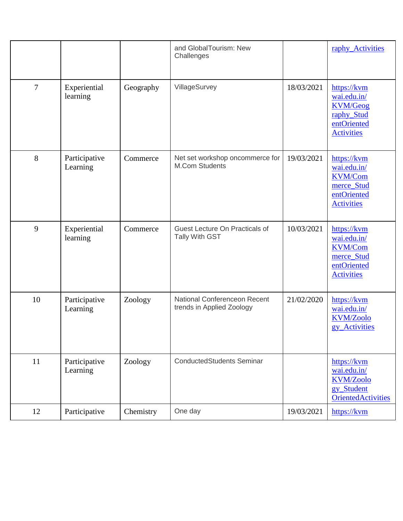|    |                           |           | and GlobalTourism: New<br>Challenges                      |            | raphy_Activities                                                                                |
|----|---------------------------|-----------|-----------------------------------------------------------|------------|-------------------------------------------------------------------------------------------------|
| 7  | Experiential<br>learning  | Geography | VillageSurvey                                             | 18/03/2021 | https://kvm<br>wai.edu.in/<br><b>KVM/Geog</b><br>raphy_Stud<br>entOriented<br><b>Activities</b> |
| 8  | Participative<br>Learning | Commerce  | Net set workshop oncommerce for<br><b>M.Com Students</b>  | 19/03/2021 | https://kvm<br>wai.edu.in/<br><b>KVM/Com</b><br>merce_Stud<br>entOriented<br><b>Activities</b>  |
| 9  | Experiential<br>learning  | Commerce  | Guest Lecture On Practicals of<br>Tally With GST          | 10/03/2021 | https://kvm<br>wai.edu.in/<br><b>KVM/Com</b><br>merce_Stud<br>entOriented<br><b>Activities</b>  |
| 10 | Participative<br>Learning | Zoology   | National Conferenceon Recent<br>trends in Applied Zoology | 21/02/2020 | https://kvm<br>wai.edu.in/<br><b>KVM/Zoolo</b><br>gy Activities                                 |
| 11 | Participative<br>Learning | Zoology   | <b>ConductedStudents Seminar</b>                          |            | https://kvm<br>wai.edu.in/<br><b>KVM/Zoolo</b><br>gy_Student<br><b>OrientedActivities</b>       |
| 12 | Participative             | Chemistry | One day                                                   | 19/03/2021 | https://kvm                                                                                     |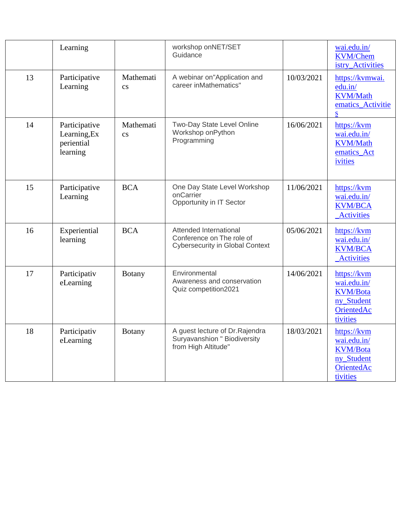|    | Learning                                                |                                     | workshop onNET/SET<br>Guidance                                                                |            | wai.edu.in/<br><b>KVM/Chem</b><br>istry_Activities                                           |
|----|---------------------------------------------------------|-------------------------------------|-----------------------------------------------------------------------------------------------|------------|----------------------------------------------------------------------------------------------|
| 13 | Participative<br>Learning                               | Mathemati<br>$\overline{\text{cs}}$ | A webinar on"Application and<br>career inMathematics"                                         | 10/03/2021 | https://kvmwai.<br>edu.in/<br><b>KVM/Math</b><br>ematics_Activitie<br>${\bf S}$              |
| 14 | Participative<br>Learning, Ex<br>periential<br>learning | Mathemati<br>$\overline{\text{cs}}$ | Two-Day State Level Online<br>Workshop onPython<br>Programming                                | 16/06/2021 | https://kvm<br>wai.edu.in/<br><b>KVM/Math</b><br>ematics_Act<br>ivities                      |
| 15 | Participative<br>Learning                               | <b>BCA</b>                          | One Day State Level Workshop<br>onCarrier<br>Opportunity in IT Sector                         | 11/06/2021 | https://kvm<br>wai.edu.in/<br><b>KVM/BCA</b><br><b>Activities</b>                            |
| 16 | Experiential<br>learning                                | <b>BCA</b>                          | Attended International<br>Conference on The role of<br><b>Cybersecurity in Global Context</b> | 05/06/2021 | https://kvm<br>wai.edu.in/<br><b>KVM/BCA</b><br><b>Activities</b>                            |
| 17 | Participativ<br>eLearning                               | <b>Botany</b>                       | Environmental<br>Awareness and conservation<br>Quiz competition2021                           | 14/06/2021 | https://kvm<br>wai.edu.in/<br><b>KVM/Bota</b><br>ny_Student<br>OrientedAc<br>tivities        |
| 18 | Participativ<br>eLearning                               | <b>Botany</b>                       | A guest lecture of Dr. Rajendra<br>Suryavanshion " Biodiversity<br>from High Altitude"        | 18/03/2021 | https://kvm<br>wai.edu.in/<br><b>KVM/Bota</b><br>ny_Student<br><b>OrientedAc</b><br>tivities |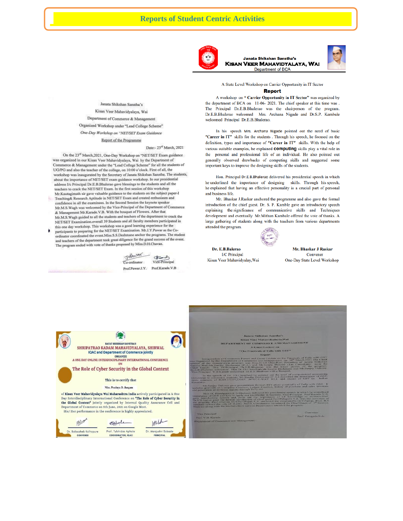

**Janata Shikshan Sanstha's KISAN VEER MAHAVIDYALAYA, WAI** Department of BCA



A State Level Workshop on Carrier Opportunity in IT Sector **Report** 

#### A workshop on "Carrier Opportunity in IT Sector" was organized by the department of BCA on 11-06-2021. The chief speaker at this time was. The Principal Dr.E.B.Bhalerao was the chairperson of the program. Dr.E.B.Bhalerao welcomed Mrs. Archana Nigade and Dr.S.P. Kambale welcomed Principal Dr.E.B.Bhalerao.

In his speech Mrs. Archana Nigade pointed out the need of basic "Career in IT" skills for the students . Through his speech, he focused on the definition, types and importance of "Career in IT" skills. With the help of various suitable examples, he explained computing skills play a vital role in the personal and professional life of an individual. He also pointed out generally observed drawbacks of computing skills and suggested some important keys to improve the designing skills of the students.

Hon. Principal Dr.E.B.Bhalerao delivered his presidential speech in which he underlined the importance of designing skills. Through his speech, he explained that having an effective personality is a crucial part of personal and business life.

Mr. Bhaskar J.Raskar anchored the programme and also gave the formal introduction of the chief guest. Dr. S. P. Kamble gave an introductory speech explaining the significance of communicative skills and Techniques development and eventually Mr.Mithun Kambale offered the vote of thanks. A large gathering of students along with the teachers from various departments attended the program.



Dr. E.B.Balerao **I/C** Principal Kisan Veer Mahavidyalay, Wai

Mr. Bhaskar J Raskar Convener One-Day State Level Workshop

Janata Shikshan Sanstha's Kisan Veer Mahavidyalaya, Wai Department of Commerce & Management Organized Workshop under "Lead College Scheme" One-Day Workshop on "NET/SET Exam Guidance

Report of the Programme

Date:- 23rd March, 2021

On the 23<sup>rd</sup> March, 2021, One-Day Workshop on "NET/SET Exam guidance was organized in our Kisan Veer Mahavidyalaya, Wai by the Department of Commerce & Management under the "Lead College Scheme" for all the students of UG/PG and also the teacher of the college, on 10:00 o'clock. First of all, the workshop was inaugurated by the Secretary of Janata Shikshan Sanstha. The students, about the importance of NET/SET exam guidance workshop. In our presidential address I/c Principal Dr.E.B.Bhalerao gave blessings to the students and all the teachers to crack the NET/SET Exam. In the first session of this workshop<br>Mr.Kautagimath sir gave valuable guidance to the students on the subject paper-J Teaching& Research Aptitude in NET/SET Exam and created enthusiasm and

confidence in all the examinees. In the Second Session the keynote speaker<br>Mr.M.S.Wagh was welcomed by the Vice-Principal of the Department of Commerce & Management Mr.Karade.V.B. With the bouquet of Flowers. After that Mr.M.S. Wagh guided to all the students and teachers of the department to crack the NET/SET Examination.overall 39 Students and all faculty members participated in this one day workshop. This workshop was a good learning experience for the

participants to preparing for the NET/SET Examination. Mr.J.Y.Pawar as the Coordinator coordinated the event.Miss.S.S.Deshmane anchor the programs. The student and teachers of the department took great diligence for the grand success of the event. The program ended with vote of thanks proposed by Miss.D.H.Chavan.



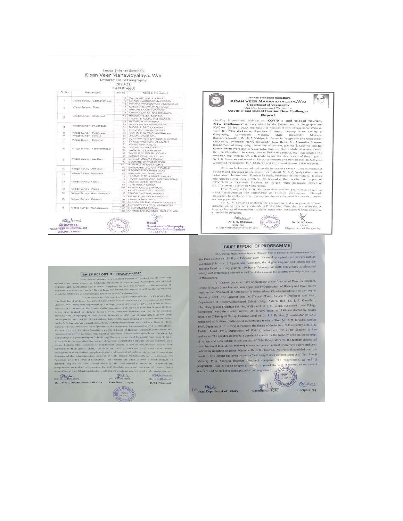## Janata Shikshan Sanstha's Kisan Veer Mahavidyalaya, Wai Department of Geography<br>2020-21

#### **Field Project** Rai No

Name of the Student

 $Sr$ . No

Field Project

| O W                      |                                 | $+1$                                                    |
|--------------------------|---------------------------------|---------------------------------------------------------|
|                          | Village Survey : Siddhanathwadi | SALUNKHE NIKITA ASHOK<br>12<br>SHINDE HARSHADA SAKHARAM |
|                          |                                 | 13.<br>KHARAT PRATIONYA CHANDRAKANT                     |
|                          | Vitage Survey: Ekser.           | 14<br>MANDHARE SWAPNALL VILLAY                          |
| 19                       |                                 | .15<br>SHELAR SAYALI TUKARAM                            |
|                          |                                 | 19<br>CHAVAN DATTATRAY BHAGWAN                          |
|                          |                                 | 16                                                      |
| $\mathbb{R}^3$           | Village Survey : Nhalewack      | INAMDAR SAILA DASTGIR<br>17                             |
|                          |                                 | THOPATE KOMAL VISHMANATH                                |
|                          |                                 | 5B<br>MOZAR VIKI RAVINDRA                               |
| 74                       | Vilage Survey Photenagar        | 23<br>SANAS SHUBHAM SADASHIV                            |
|                          |                                 | 31<br>SHOSALE PRITILAXAMAN                              |
|                          |                                 | $32 -$<br>THOMBARE SAGAR SHEVAJE                        |
| $\overline{\phantom{a}}$ | Wilage Survey : Piractiwadi     | $34 -$<br>KOCHALE ANITA CHANDRAKANT                     |
| -8                       | Vilage Survey Sonake            | 68<br>DHUMAL VIVEK ANIL                                 |
| ÷                        | Village Survey Baleghan         | 39<br>SURYAWANSHI SANTOSH TUKARAM                       |
|                          |                                 | 51<br>SHINDE-AKSHADA HANLIMANT                          |
|                          |                                 | 52<br>YEDGE AJAY KAILAS                                 |
| $\sqrt{8}$               | Milage Survey, "Yashwantnagar"  | 54<br>DORAKE MONIKA RAJU                                |
|                          |                                 | 66<br>WARKHADE DIVYA DILIP                              |
|                          |                                 | 56<br>WARKHADE GOURI UDDHAV                             |
|                          |                                 | 57<br>KAMBLE PRASHANT VILAS                             |
| $\alpha$                 | Village Survey, Baudhan         | 68<br>GHOLAP VINAYAK SANJAY                             |
|                          |                                 | 92<br><b>DUCHANE SHIVAM DEEPAK.</b>                     |
|                          |                                 | 143<br>KADAM PRAMOD LAXMAN                              |
|                          |                                 | 6G<br>MANDHARE GAURAV PRACHAD                           |
| 10                       | Village Survey : Abhepuri       | d.7<br>GIMVEKAR SOURAIN VILAS                           |
|                          | Village Survey Menawall.        | 66<br>GAIKWAD SHUBHAM AJIT                              |
| 13                       |                                 | 72<br>TARAMBLE TEJASHREE SANJAY                         |
|                          |                                 | 76<br>TIVVARI UALESHWAR RAMESHKUMAR :                   |
| $-10-$<br>$^{12}$        | Village Survey: Vasole          | 75<br>JADHAV UMESH DEVOAS                               |
|                          |                                 | G4<br>TUPE POOJA SONISA                                 |
|                          |                                 | TDE.                                                    |
| 33                       | Village Survey Assem-           | PAYVAR KAILAS SHANKAR                                   |
| 34                       |                                 | 107<br><b>RHARAT SHRUTIKA ASHOK</b>                     |
|                          | Virage Survey Aambilvadgagn     | $+325$<br>TANDALE VITTHAL ANANTA                        |
|                          |                                 | 153<br>AADKE RUSHIKESH HANIVANT                         |
| 1.5                      | Village Survey Passean          | $1 - 4$<br>VAIRAT RAHUL SUNIL                           |
|                          |                                 | 162<br>CHOUDHARI BHAUSAHER PRAKASH                      |
|                          |                                 | 172<br>SURYAWANSHI RESHMA RAMESH                        |
| 1ñ.                      | Vitage Survey Mingasewadi       | 177<br>SULKE ANKITA SATISH                              |
|                          |                                 | 183<br>RATHOD SANJAYSINGH RAMJITSINGH                   |

Janata Shikshan Si Janata Shikshan Sanstha's<br>KISAN VEER MAHAVIDYALAYA,WAI **Department of Geography** Department of Severy, Spin, Report

 $\sqrt{2}$ 

**Report**<br>
One-Day International Webian on COVID-is **and Globel Tourism.**<br>
New Challenges" was organized by the Department of Geography and<br>
IQAC on 25 Sept. 2020. The Resource Persons at this International Webinar<br>
were D

we<br>come primaps of the scheme and introduced theme of the Webinst.<br>On the analysis of the scheme of the input of COVID-19 on International<br>detail about International discussed investigate over its in detail. Dr. B. C. Val

on nost population.<br>
On K, N. Somakke anchored the programme and also gave the formal introduction of the chiral state and also gave the formal introduction of the chiral state passes. Mr. S.P. Kamble offered the vote of t

**Dr. V. R. Veer**<br>Department of Geography He program.<br>  $\frac{QR(z|z|) \cdots Q(z)}{P(\text{in. } \text{B}{\text{in. } \text{B}{\text{in. } \text{B}{\text{in. } \text{B}}}}$ <br>  $\frac{P(\text{in. } \text{B}{\text{in. } \text{B}{\text{in. } \text{B}{\text{in. } \text{B}}}})}{P(\text{in. } \text{B}{\text{in. } \text{B}{\text{in. } \text{B}{\text{in. } \text{B}}}})$ 

# **BRIEF REPORT OF PROGRAMME**

Principal<br>Kisan Veer Mahavidyalay, Wai

Chla Shivaji Maharaj was born in Shivneri Fort in Junnar in the extreme north of the Pune distinct on 19th Day of February 1630. He stood up against alien powers such as Adilshahi Sultanate of Bijapur and Aurangzeb, the Mughal emperor and established the Maratha kingdom. Every year on 196 Day of February, his birth anniversary is celebrated widely with great zeal, enthusiasm and patriotism, across the country, especially in the state of Maharashtra.

To commemorate the birth anniversary of the founder of Maratha kingdom, Online (Virtual) Guest Lecture, was organized by Department of History and IQAC on the topic entitled 'Promoter of Nationalism in Maharashtra: Chhatrapati Shivaji' on 24<sup>th</sup> Day of February 2021. The Speaker was Dr. Dhanaji Masal, Associate Professor and Head, Department of History,Chhatrapati Shivaji Collge, Satara, Hon, Dr. J. S. Choudhari, (Secretary, Janata Shikshan Sanstha, Wai) and Prof. R. V. Bakare, (Convener, Lead College Committee) were the special invitees. At the very outset at 11.00 am started by paying tribute to Chhatrapati Shivaji Maharaj, Later on Dr. S. P. Kamble, (Co-ordinator of IQAC) welcomed all invitees, participated students and teachers. Then Mr. B. M. Birajdar, (Assist. Prof., Department of History) introduced the theme of the lecture. Subsequently, Mrs. B. G. Padale (Assist. Prof., Department of History) introduced the Guest Speaker to the audiences. The speaker delivered a wonderful speech on the topic by defining the concept of nation and nationalism in the context of Chh. Shivaji Maharaj, He further elaborated contribution of Chh. Shivaji Maharaj as a nation builder against oppressive rulers and their policies by adopting religious tolerance. Dr. E. B. Bhalerao, I/C Princpal, presided over the function. The lecture has been thrown a fresh insight on a different aspect of Chh. Shivaji Maharaj, Miss. Shredha Badekar (Student) compered the programme. At end of Maharaj, Miss. Shredha Badexar (Muomi) competent the vote of thanks. There were 9<br>programme, Miss. Shradha Jangam (Student) proposed the vote of thanks. There were 9<br>teachers and 22 students participated in the programme.

Coordinator, IQAC

**BRIEF REPORT OF PROGRAMME** 

 $[{\bf BRIEE \ \, {\bf REDORT \ \, {\bf OF \ \, PROGRAMME}} \hspace*{-0.3cm} {\bf RRIEE \ \, {\bf REPORT \ \, {\bf OF \ \, {\bf PROG RAMME}} \hspace*{-0.3cm} {\bf RRIBE \ \, {\bf SISUR \ \, {\bf SISUR \ \, {\bf SISUR \ \, {\bf SISUR \ \, {\bf SISUR \ \, {\bf SISUR \ \, {\bf SISUR \ \, {\bf SISUR \ \, {\bf SISUR \ \, {\bf SISUR \ \, {\bf SISUR \ \, {\bf SISUR \ \, {\bf SISUR \ \, {\bf SISUR \ \, {\bf$ 



**Contract Contract of History** 

Principal (I/C)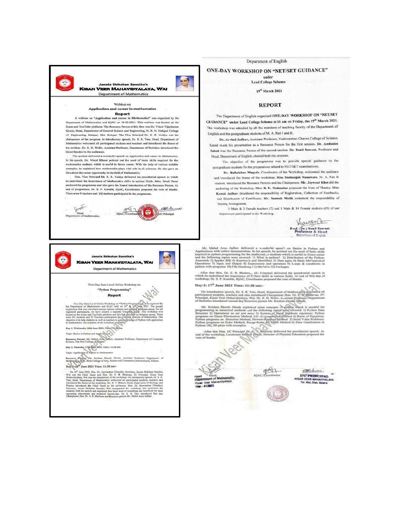

Department of English

## ONE-DAY WORKSHOP ON "NET/SET GUIDANCE"

under **Lead College Scheme** 

19<sup>th</sup> March 2021

## **REPORT**

The Department of English organized ONE-DAY WORKSHOP ON "NET/SET GUIDANCE" under Lead College Scheme at 11 am on Friday, the 19th March 2021. The workshop was attended by all the members of teaching faculty of the Department of English and the postgraduate students of M. A. Part I and II.

Dr. Arvind Jadhav, Assistant Professor, Yashwantrao Chavan College of Science, Karad made his presentation as a Resource Person for the first session. Dr. Ambadas Sakat was the Resource Person of the second session. Dr. Sunil Sawant, Professor and Head, Department of English, chaired both the sessions.

The objective of the programme was to provide special guidance to the postgraduate students for the preparations related to NET/SET examinations.

Dr. Balkrishna Magade, Coordinator of the Workshop, welcomed the audience and introduced the theme of the workshop. Miss Snehanjali Nanaware, M. A. Part II student, introduced the Resource Persons and the Chairperson. Mr. Jaywant Khot did the anchoring of the Workshop. Mrs. R. U. Makandar proposed the Vote of Thanks. Miss Komal Jadhav shouldered the responsibility of Registration, Collection of Feedbacks, and Distribution of Certificates. Mr. Santosh Mulik undertook the responsibility of Seating Arrangement

5 Male & 2 Female teachers (7) and 1 Male & 14 Female students (15) of our Department participated in the Workshop.

Hawant Prof. (Dr.) Sunil Sawant<br>Professor & Head **Department of English** 

Mr. Melul Anua Jadhuv delivered a wonderful speach en Banics in Python and Applications with online demonstration, In his speech, he pointed out the need of basic skills required in gothens requirenting for the multilenum

After that Hon, Dr. E. B. Bhalera.,  $DC$  Frinzipal delivered his presidential spaces in which as underlines the inportance of P+then stills in various fields. At end of first day of workshop, Dr. S. P. Knenbio, IQAC, Coord

## Day-2: 17<sup>th</sup> June 2021 Time: 11:30 am:-

On introductory speech, Dr. S. R. Tito, Head, Department of Mathematics adoleomed all participated and<br>charged and care introduced Chairpenson Hon. Dr. E. B. White Andreas (1996)<br>Principal, Kism Veer Mahayidyairya, Wai. D

Mr. Krishna Ekazih Ghode explained some concepts of python which is need<br>ful for programming in numerical methods soul the following topics were observed. 1) Python Data Structure<br> $2)$  Operations on set and arms  $3)$  Syst

After that Hon, IC Principal De, C. C. Basterno delivered his presidential speech. As<br>end of the weekshop, Lieutenant Salled Power, Drecker of Physical Education proposed the<br>sete of Gamis.